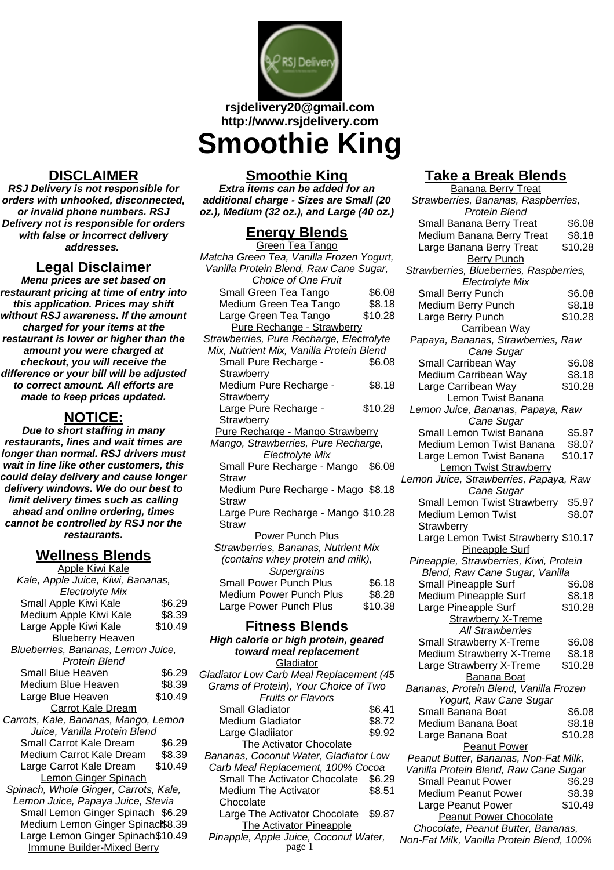

#### **rsjdelivery20@gmail.com http://www.rsjdelivery.com**

# **Smoothie King**

#### **Smoothie King**

**Extra items can be added for an additional charge - Sizes are Small (20 oz.), Medium (32 oz.), and Large (40 oz.)**

### **Energy Blends**

| Green Tea Tango                          |         |
|------------------------------------------|---------|
| Matcha Green Tea, Vanilla Frozen Yogurt, |         |
| Vanilla Protein Blend, Raw Cane Sugar,   |         |
| <b>Choice of One Fruit</b>               |         |
| Small Green Tea Tango                    | \$6.08  |
| Medium Green Tea Tango                   | \$8.18  |
| Large Green Tea Tango                    | \$10.28 |
| Pure Rechange - Strawberry               |         |
| Strawberries, Pure Recharge, Electrolyte |         |
| Mix, Nutrient Mix, Vanilla Protein Blend |         |
| Small Pure Recharge -                    | \$6.08  |
| Strawberry                               |         |
| Medium Pure Recharge -                   | \$8.18  |
| Strawberry                               |         |
| Large Pure Recharge -                    | \$10.28 |
| Strawberry                               |         |
| Pure Recharge - Mango Strawberry         |         |
| Mango, Strawberries, Pure Recharge,      |         |
| Electrolyte Mix                          |         |
| Small Pure Recharge - Mango              | \$6.08  |
| Straw                                    |         |
| Medium Pure Recharge - Mago \$8.18       |         |
| Straw                                    |         |
| Large Pure Recharge - Mango \$10.28      |         |
| Straw                                    |         |
| <b>Power Punch Plus</b>                  |         |
| Strawberries, Bananas, Nutrient Mix      |         |
| (contains whey protein and milk),        |         |
| Supergrains                              |         |
| <b>Small Power Punch Plus</b>            | \$6.18  |
| <b>Medium Power Punch Plus</b>           | \$8.28  |
| Large Power Punch Plus                   | \$10.38 |
| Fitness Rlends                           |         |

#### **Take a Break Blends** <u>- - - - - - - - - - - -</u><br>Banana Berry Treat

| <u> Danana Deny Treat</u>               |         |
|-----------------------------------------|---------|
| Strawberries, Bananas, Raspberries,     |         |
| Protein Blend                           |         |
| Small Banana Berry Treat                | \$6.08  |
| Medium Banana Berry Treat               | \$8.18  |
| Large Banana Berry Treat                | \$10.28 |
| <b>Berry Punch</b>                      |         |
| Strawberries, Blueberries, Raspberries, |         |
| <b>Electrolyte Mix</b>                  |         |
| Small Berry Punch                       | \$6.08  |
| Medium Berry Punch                      | \$8.18  |
| Large Berry Punch                       | \$10.28 |
| Carribean Way                           |         |
| Papaya, Bananas, Strawberries, Raw      |         |
| Cane Sugar                              |         |
| Small Carribean Way                     | \$6.08  |
|                                         |         |
| Medium Carribean Way                    | \$8.18  |
| Large Carribean Way                     | \$10.28 |
| Lemon Twist Banana                      |         |
| Lemon Juice, Bananas, Papaya, Raw       |         |
| Cane Sugar                              |         |
| Small Lemon Twist Banana                | \$5.97  |
| Medium Lemon Twist Banana               | \$8.07  |
| Large Lemon Twist Banana                | \$10.17 |
| <b>Lemon Twist Strawberry</b>           |         |
| Lemon Juice, Strawberries, Papaya, Raw  |         |
| Cane Sugar                              |         |
| Small Lemon Twist Strawberry            | \$5.97  |
| <b>Medium Lemon Twist</b>               | \$8.07  |
|                                         |         |
| Strawberry                              |         |
| Large Lemon Twist Strawberry \$10.17    |         |
| <b>Pineapple Surf</b>                   |         |
| Pineapple, Strawberries, Kiwi, Protein  |         |
| Blend, Raw Cane Sugar, Vanilla          |         |
| Small Pineapple Surf                    | \$6.08  |
| Medium Pineapple Surf                   | \$8.18  |
| Large Pineapple Surf                    | \$10.28 |
| <b>Strawberry X-Treme</b>               |         |
| <b>All Strawberries</b>                 |         |
| Small Strawberry X-Treme                | \$6.08  |
| Medium Strawberry X-Treme               | \$8.18  |
| Large Strawberry X-Treme                | \$10.28 |
| <b>Banana Boat</b>                      |         |
| Bananas, Protein Blend, Vanilla Frozen  |         |
| Yogurt, Raw Cane Sugar                  |         |
| Small Banana Boat                       | \$6.08  |
| Medium Banana Boat                      | \$8.18  |
|                                         |         |
| Large Banana Boat                       | \$10.28 |
| <b>Peanut Power</b>                     |         |
| Peanut Butter, Bananas, Non-Fat Milk,   |         |
| Vanilla Protein Blend, Raw Cane Sugar   |         |
| <b>Small Peanut Power</b>               | \$6.29  |
| <b>Medium Peanut Power</b>              | \$8.39  |
| Large Peanut Power                      | \$10.49 |
| <b>Peanut Power Chocolate</b>           |         |
| Chocolate, Peanut Butter, Bananas,      |         |

Non-Fat Milk, Vanilla Protein Blend, 100%

# **DISCLAIMER**

**RSJ Delivery is not responsible for orders with unhooked, disconnected, or invalid phone numbers. RSJ Delivery not is responsible for orders with false or incorrect delivery addresses.**

# **Legal Disclaimer**

**Menu prices are set based on restaurant pricing at time of entry into this application. Prices may shift without RSJ awareness. If the amount charged for your items at the restaurant is lower or higher than the amount you were charged at checkout, you will receive the difference or your bill will be adjusted to correct amount. All efforts are made to keep prices updated.**

# **NOTICE:**

**Due to short staffing in many restaurants, lines and wait times are longer than normal. RSJ drivers must wait in line like other customers, this could delay delivery and cause longer delivery windows. We do our best to limit delivery times such as calling ahead and online ordering, times cannot be controlled by RSJ nor the restaurants.**

### **Wellness Blends**

| <u> Apple Kiwi Kale</u>               |         |
|---------------------------------------|---------|
| Kale, Apple Juice, Kiwi, Bananas,     |         |
| <b>Electrolyte Mix</b>                |         |
| Small Apple Kiwi Kale                 | \$6.29  |
| Medium Apple Kiwi Kale                | \$8.39  |
| Large Apple Kiwi Kale                 | \$10.49 |
| <b>Blueberry Heaven</b>               |         |
| Blueberries, Bananas, Lemon Juice,    |         |
| Protein Blend                         |         |
| <b>Small Blue Heaven</b>              | \$6.29  |
| Medium Blue Heaven                    | \$8.39  |
| Large Blue Heaven                     | \$10.49 |
| <b>Carrot Kale Dream</b>              |         |
| Carrots, Kale, Bananas, Mango, Lemon  |         |
| Juice, Vanilla Protein Blend          |         |
| Small Carrot Kale Dream               | \$6.29  |
| Medium Carrot Kale Dream              | \$8.39  |
| Large Carrot Kale Dream               | \$10.49 |
| Lemon Ginger Spinach                  |         |
| Spinach, Whole Ginger, Carrots, Kale, |         |
| Lemon Juice, Papaya Juice, Stevia     |         |
| Small Lemon Ginger Spinach \$6.29     |         |
| Medium Lemon Ginger Spinack\$8.39     |         |
| Large Lemon Ginger Spinach\$10.49     |         |
| <b>Immune Builder-Mixed Berry</b>     |         |
|                                       |         |

#### **Fitness Blends High calorie or high protein, geared toward meal replacement** Gladiator Gladiator Low Carb Meal Replacement (45 Grams of Protein), Your Choice of Two Fruits or Flavors Small Gladiator \$6.41 Medium Gladiator \$8.72 Large Gladiiator **\$9.92**

The Activator Chocolate Bananas, Coconut Water, Gladiator Low Carb Meal Replacement, 100% Cocoa Small The Activator Chocolate \$6.29 Medium The Activator **Chocolate** \$8.51 Large The Activator Chocolate \$9.87 The Activator Pineapple

Pinapple, Apple Juice, Coconut Water,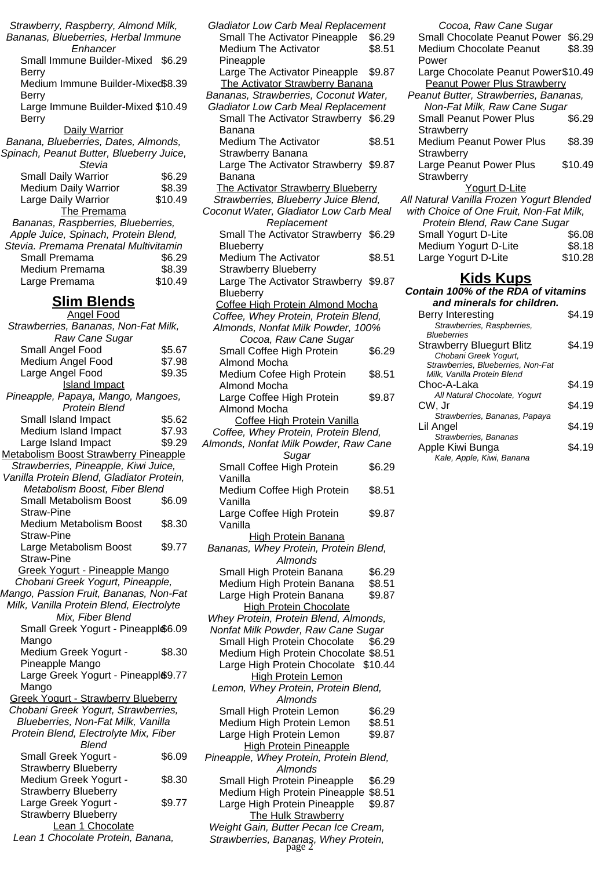| Strawberry, Raspberry, Almond Milk,                          |                  |
|--------------------------------------------------------------|------------------|
| Bananas, Blueberries, Herbal Immune                          |                  |
| Enhancer                                                     |                  |
| Small Immune Builder-Mixed                                   | \$6.29           |
| Berry                                                        |                  |
| Medium Immune Builder-Mixed\$8.39                            |                  |
| Berry                                                        |                  |
| Large Immune Builder-Mixed \$10.49                           |                  |
| Berry                                                        |                  |
| Daily Warrior<br>Banana, Blueberries, Dates, Almonds,        |                  |
| Spinach, Peanut Butter, Blueberry Juice,                     |                  |
| Stevia                                                       |                  |
| <b>Small Daily Warrior</b>                                   | \$6.29           |
| Medium Daily Warrior                                         | \$8.39           |
| Large Daily Warrior                                          | \$10.49          |
| The Premama                                                  |                  |
| Bananas, Raspberries, Blueberries,                           |                  |
| Apple Juice, Spinach, Protein Blend,                         |                  |
| Stevia. Premama Prenatal Multivitamin                        |                  |
| Small Premama                                                | \$6.29           |
| Medium Premama                                               | \$8.39           |
| Large Premama                                                | \$10.49          |
|                                                              |                  |
| <b>Slim Blends</b>                                           |                  |
| <b>Angel Food</b>                                            |                  |
| Strawberries, Bananas, Non-Fat Milk,                         |                  |
| Raw Cane Sugar                                               |                  |
| Small Angel Food<br>Medium Angel Food                        | \$5.67<br>\$7.98 |
| Large Angel Food                                             | \$9.35           |
| <b>Island Impact</b>                                         |                  |
| Pineapple, Papaya, Mango, Mangoes,                           |                  |
| <b>Protein Blend</b>                                         |                  |
| Small Island Impact                                          | \$5.62           |
| Medium Island Impact                                         | \$7.93           |
| Large Island Impact                                          | \$9.29           |
| <b>Metabolism Boost Strawberry Pineapple</b>                 |                  |
| Strawberries, Pineapple, Kiwi Juice,                         |                  |
| Vanilla Protein Blend, Gladiator Protein,                    |                  |
| Metabolism Boost, Fiber Blend                                |                  |
| Small Metabolism Boost                                       | \$6.09           |
| <b>Straw-Pine</b>                                            |                  |
| <b>Medium Metabolism Boost</b><br><b>Straw-Pine</b>          | \$8.30           |
|                                                              | \$9.77           |
| Large Metabolism Boost<br><b>Straw-Pine</b>                  |                  |
| Greek Yogurt - Pineapple Mango                               |                  |
| Chobani Greek Yogurt, Pineapple,                             |                  |
| Mango, Passion Fruit, Bananas, Non-Fat                       |                  |
|                                                              |                  |
|                                                              |                  |
| Milk, Vanilla Protein Blend, Electrolyte<br>Mix, Fiber Blend |                  |
| Small Greek Yogurt - Pineappl \$6.09                         |                  |
| Mango                                                        |                  |
| Medium Greek Yogurt -                                        | \$8.30           |
| Pineapple Mango                                              |                  |
| Large Greek Yogurt - Pineappl&9.77                           |                  |
| Mango                                                        |                  |
| <b>Greek Yogurt - Strawberry Blueberry</b>                   |                  |
| Chobani Greek Yogurt, Strawberries,                          |                  |
| Blueberries, Non-Fat Milk, Vanilla                           |                  |
| Protein Blend, Electrolyte Mix, Fiber                        |                  |
| <b>Blend</b>                                                 |                  |
| Small Greek Yogurt -                                         | \$6.09           |
| <b>Strawberry Blueberry</b>                                  |                  |
| Medium Greek Yogurt -                                        | \$8.30           |
| Strawberry Blueberry<br>Large Greek Yogurt -                 | \$9.77           |
| <b>Strawberry Blueberry</b><br>Lean 1 Chocolate              |                  |

Lean 1 Chocolate Protein, Banana,

|                                                                                 | <b>Gladiator Low Carb Meal Replacement</b> |
|---------------------------------------------------------------------------------|--------------------------------------------|
| Small The Activator Pineapple                                                   | \$6.29                                     |
| <b>Medium The Activator</b>                                                     | \$8.51                                     |
| Pineapple                                                                       |                                            |
| Large The Activator Pineapple                                                   | \$9.87                                     |
| <b>The Activator Strawberry Banana</b><br>Bananas, Strawberries, Coconut Water, |                                            |
| <b>Gladiator Low Carb Meal Replacement</b>                                      |                                            |
| Small The Activator Strawberry \$6.29                                           |                                            |
| Banana                                                                          |                                            |
| <b>Medium The Activator</b>                                                     | \$8.51                                     |
| Strawberry Banana                                                               |                                            |
| Large The Activator Strawberry \$9.87                                           |                                            |
| Banana                                                                          |                                            |
| The Activator Strawberry Blueberry                                              |                                            |
| Strawberries, Blueberry Juice Blend,                                            |                                            |
| Coconut Water, Gladiator Low Carb Meal                                          |                                            |
| Replacement                                                                     |                                            |
| Small The Activator Strawberry \$6.29                                           |                                            |
| Blueberry                                                                       |                                            |
| <b>Medium The Activator</b>                                                     | \$8.51                                     |
| <b>Strawberry Blueberry</b>                                                     |                                            |
| Large The Activator Strawberry \$9.87                                           |                                            |
| Blueberry                                                                       |                                            |
| Coffee High Protein Almond Mocha                                                |                                            |
| Coffee, Whey Protein, Protein Blend,                                            |                                            |
| Almonds, Nonfat Milk Powder, 100%                                               |                                            |
| Cocoa, Raw Cane Sugar                                                           |                                            |
| Small Coffee High Protein                                                       | \$6.29                                     |
| <b>Almond Mocha</b>                                                             |                                            |
| Medium Cofee High Protein                                                       | \$8.51                                     |
| Almond Mocha                                                                    |                                            |
| Large Coffee High Protein<br>Almond Mocha                                       | \$9.87                                     |
| Coffee High Protein Vanilla                                                     |                                            |
| Coffee, Whey Protein, Protein Blend,                                            |                                            |
| Almonds, Nonfat Milk Powder, Raw Cane                                           |                                            |
| Sugar                                                                           |                                            |
| Small Coffee High Protein                                                       |                                            |
|                                                                                 |                                            |
| Vanilla                                                                         | \$6.29                                     |
|                                                                                 |                                            |
| Medium Coffee High Protein<br>Vanilla                                           | \$8.51                                     |
|                                                                                 | \$9.87                                     |
| Large Coffee High Protein<br>Vanilla                                            |                                            |
| <b>High Protein Banana</b>                                                      |                                            |
| Bananas, Whey Protein, Protein Blend,                                           |                                            |
| Almonds                                                                         |                                            |
| Small High Protein Banana                                                       | \$6.29                                     |
| Medium High Protein Banana                                                      | \$8.51                                     |
| Large High Protein Banana                                                       | \$9.87                                     |
| <b>High Protein Chocolate</b>                                                   |                                            |
| Whey Protein, Protein Blend, Almonds,                                           |                                            |
| Nonfat Milk Powder, Raw Cane Sugar                                              |                                            |
| Small High Protein Chocolate                                                    | \$6.29                                     |
| Medium High Protein Chocolate \$8.51                                            |                                            |
| Large High Protein Chocolate                                                    | \$10.44                                    |
| <b>High Protein Lemon</b>                                                       |                                            |
| Lemon, Whey Protein, Protein Blend,                                             |                                            |
| Almonds                                                                         |                                            |
| Small High Protein Lemon                                                        | \$6.29                                     |
| Medium High Protein Lemon                                                       | \$8.51                                     |
| Large High Protein Lemon                                                        | \$9.87                                     |
| <b>High Protein Pineapple</b>                                                   |                                            |
| Pineapple, Whey Protein, Protein Blend,                                         |                                            |
| Almonds                                                                         |                                            |
| Small High Protein Pineapple                                                    | \$6.29                                     |
| Medium High Protein Pineapple                                                   | \$8.51                                     |
| Large High Protein Pineapple<br><b>The Hulk Strawberry</b>                      | \$9.87                                     |

| <u>Froight Odin, Dattor Foodinoo Orodin,</u> |        |  |  |
|----------------------------------------------|--------|--|--|
| Strawberries, Bananaş, Whey Protein,         |        |  |  |
|                                              | page 2 |  |  |

| <b>Small Chocolate Peanut Power</b>       | \$6.29  |
|-------------------------------------------|---------|
| <b>Medium Chocolate Peanut</b>            | \$8.39  |
| Power                                     |         |
| Large Chocolate Peanut Power\$10.49       |         |
| <b>Peanut Power Plus Strawberry</b>       |         |
| Peanut Butter, Strawberries, Bananas,     |         |
| Non-Fat Milk, Raw Cane Sugar              |         |
| <b>Small Peanut Power Plus</b>            | \$6.29  |
| Strawberry                                |         |
| <b>Medium Peanut Power Plus</b>           | \$8.39  |
| Strawberry                                |         |
| Large Peanut Power Plus                   | \$10.49 |
| Strawberry                                |         |
| Yogurt D-Lite                             |         |
| All Natural Vanilla Frozen Yogurt Blended |         |
| with Choice of One Fruit, Non-Fat Milk,   |         |
| Protein Blend, Raw Cane Sugar             |         |
| Small Yogurt D-Lite                       | \$6.08  |
| Medium Yogurt D-Lite                      | \$8.18  |
| Large Yogurt D-Lite                       | \$10.28 |
| <u>Kids Kups</u>                          |         |
| Contain 100% of the RDA of vitamins       |         |
| and minerals for children.                |         |
|                                           |         |

Cocoa, Raw Cane Sugar

| and minerals for children.         |        |
|------------------------------------|--------|
| Berry Interesting                  | S4.19  |
| Strawberries, Raspberries,         |        |
| <b>Blueberries</b>                 |        |
| Strawberry Bluegurt Blitz          | \$4.19 |
| Chobani Greek Yogurt,              |        |
| Strawberries, Blueberries, Non-Fat |        |
| Milk, Vanilla Protein Blend        |        |
| Choc-A-Laka                        | \$4.19 |
| All Natural Chocolate, Yogurt      |        |
| CW. Jr                             | \$4.19 |
| Strawberries, Bananas, Papaya      |        |
| Lil Angel                          | \$4.19 |
| Strawberries, Bananas              |        |
| Apple Kiwi Bunga                   | \$4.19 |
| Kale, Apple, Kiwi, Banana          |        |
|                                    |        |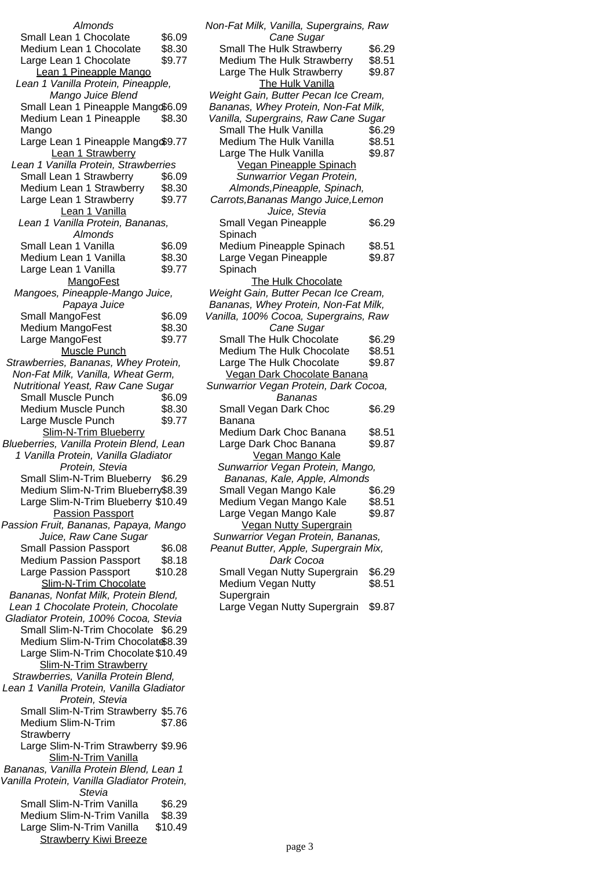| Almonds                                                           |                  |
|-------------------------------------------------------------------|------------------|
| Small Lean 1 Chocolate                                            | \$6.09           |
| Medium Lean 1 Chocolate                                           | \$8.30           |
| Large Lean 1 Chocolate                                            | \$9.77           |
| Lean 1 Pineapple Mango                                            |                  |
| Lean 1 Vanilla Protein, Pineapple,                                |                  |
| Mango Juice Blend                                                 |                  |
| Small Lean 1 Pineapple Mango\$6.09                                |                  |
| Medium Lean 1 Pineapple                                           | \$8.30           |
| Mango                                                             |                  |
| Large Lean 1 Pineapple Mang \$9.77                                |                  |
| Lean 1 Strawberry                                                 |                  |
| Lean 1 Vanilla Protein, Strawberries                              |                  |
| Small Lean 1 Strawberry                                           | \$6.09           |
| Medium Lean 1 Strawberry                                          | \$8.30<br>\$9.77 |
| Large Lean 1 Strawberry                                           |                  |
| Lean 1 Vanilla<br>Lean 1 Vanilla Protein, Bananas,                |                  |
| Almonds                                                           |                  |
| Small Lean 1 Vanilla                                              | \$6.09           |
| Medium Lean 1 Vanilla                                             | \$8.30           |
| Large Lean 1 Vanilla                                              | \$9.77           |
| MangoFest                                                         |                  |
| Mangoes, Pineapple-Mango Juice,                                   |                  |
| Papaya Juice                                                      |                  |
| Small MangoFest                                                   | \$6.09           |
| Medium MangoFest                                                  | \$8.30           |
| Large MangoFest                                                   | \$9.77           |
| Muscle Punch                                                      |                  |
| Strawberries, Bananas, Whey Protein,                              |                  |
| Non-Fat Milk, Vanilla, Wheat Germ,                                |                  |
| Nutritional Yeast, Raw Cane Sugar                                 |                  |
| Small Muscle Punch                                                | \$6.09           |
| Medium Muscle Punch                                               | \$8.30           |
| Large Muscle Punch                                                | \$9.77           |
| Slim-N-Trim Blueberry<br>Blueberries, Vanilla Protein Blend, Lean |                  |
| 1 Vanilla Protein, Vanilla Gladiator                              |                  |
| Protein, Stevia                                                   |                  |
| Small Slim-N-Trim Blueberry \$6.29                                |                  |
| Medium Slim-N-Trim Blueberry\$8.39                                |                  |
| Large Slim-N-Trim Blueberry \$10.49                               |                  |
|                                                                   |                  |
|                                                                   |                  |
| <b>Passion Passport</b>                                           |                  |
| Passion Fruit, Bananas, Papaya, Mango<br>Juice, Raw Cane Sugar    |                  |
| <b>Small Passion Passport</b>                                     | \$6.08           |
| <b>Medium Passion Passport</b>                                    | \$8.18           |
| Large Passion Passport                                            | \$10.28          |
| Slim-N-Trim Chocolate                                             |                  |
| Bananas, Nonfat Milk, Protein Blend,                              |                  |
| Lean 1 Chocolate Protein, Chocolate                               |                  |
| Gladiator Protein, 100% Cocoa, Stevia                             |                  |
| Small Slim-N-Trim Chocolate \$6.29                                |                  |
| Medium Slim-N-Trim Chocolat \$8.39                                |                  |
| Large Slim-N-Trim Chocolate \$10.49                               |                  |
| Slim-N-Trim Strawberry                                            |                  |
| Strawberries, Vanilla Protein Blend,                              |                  |
| Lean 1 Vanilla Protein, Vanilla Gladiator                         |                  |
| Protein, Stevia                                                   |                  |
| Small Slim-N-Trim Strawberry \$5.76<br>Medium Slim-N-Trim         | \$7.86           |
| Strawberry                                                        |                  |
| Large Slim-N-Trim Strawberry \$9.96                               |                  |
| Slim-N-Trim Vanilla                                               |                  |
| Bananas, Vanilla Protein Blend, Lean 1                            |                  |
| Vanilla Protein, Vanilla Gladiator Protein,                       |                  |
| <b>Stevia</b>                                                     |                  |
| Small Slim-N-Trim Vanilla                                         | \$6.29           |
| Medium Slim-N-Trim Vanilla                                        | \$8.39           |
| Large Slim-N-Trim Vanilla<br><b>Strawberry Kiwi Breeze</b>        | \$10.49          |

| Non-Fat Milk, Vanilla, Supergrains, Raw<br>Cane Sugar                        |        |
|------------------------------------------------------------------------------|--------|
| Small The Hulk Strawberry                                                    | \$6.29 |
|                                                                              |        |
| Medium The Hulk Strawberry                                                   | \$8.51 |
| Large The Hulk Strawberry                                                    | \$9.87 |
| <b>The Hulk Vanilla</b>                                                      |        |
| Weight Gain, Butter Pecan Ice Cream,<br>Bananas, Whey Protein, Non-Fat Milk, |        |
| Vanilla, Supergrains, Raw Cane Sugar                                         |        |
| Small The Hulk Vanilla                                                       | \$6.29 |
| Medium The Hulk Vanilla                                                      | \$8.51 |
| Large The Hulk Vanilla                                                       | \$9.87 |
|                                                                              |        |
| <b>Vegan Pineapple Spinach</b>                                               |        |
| Sunwarrior Vegan Protein,                                                    |        |
| Almonds, Pineapple, Spinach,                                                 |        |
| Carrots, Bananas Mango Juice, Lemon                                          |        |
| Juice, Stevia                                                                |        |
| Small Vegan Pineapple                                                        | \$6.29 |
| Spinach                                                                      |        |
| Medium Pineapple Spinach                                                     | \$8.51 |
| Large Vegan Pineapple                                                        | \$9.87 |
| Spinach                                                                      |        |
| The Hulk Chocolate                                                           |        |
|                                                                              |        |
| Weight Gain, Butter Pecan Ice Cream,                                         |        |
| Bananas, Whey Protein, Non-Fat Milk,                                         |        |
| Vanilla, 100% Cocoa, Supergrains, Raw                                        |        |
| Cane Sugar                                                                   |        |
| Small The Hulk Chocolate                                                     | \$6.29 |
| <b>Medium The Hulk Chocolate</b>                                             | \$8.51 |
| Large The Hulk Chocolate                                                     | \$9.87 |
| Vegan Dark Chocolate Banana                                                  |        |
| Sunwarrior Vegan Protein, Dark Cocoa,                                        |        |
| <b>Bananas</b>                                                               |        |
| Small Vegan Dark Choc                                                        | \$6.29 |
| Banana                                                                       |        |
| Medium Dark Choc Banana                                                      | \$8.51 |
|                                                                              |        |
| Large Dark Choc Banana                                                       | \$9.87 |
| <b>Vegan Mango Kale</b>                                                      |        |
| Sunwarrior Vegan Protein, Mango,                                             |        |
| Bananas, Kale, Apple, Almonds                                                |        |
| Small Vegan Mango Kale                                                       | \$6.29 |
| Medium Vegan Mango Kale                                                      | \$8.51 |
| Large Vegan Mango Kale                                                       | \$9.87 |
| <b>Vegan Nutty Supergrain</b>                                                |        |
| Sunwarrior Vegan Protein, Bananas,                                           |        |
| Peanut Butter, Apple, Supergrain Mix,                                        |        |
| Dark Cocoa                                                                   |        |
| Small Vegan Nutty Supergrain                                                 | \$6.29 |
| Medium Vegan Nutty                                                           | \$8.51 |
| Supergrain                                                                   |        |
|                                                                              |        |
| Large Vegan Nutty Supergrain                                                 | \$9.87 |